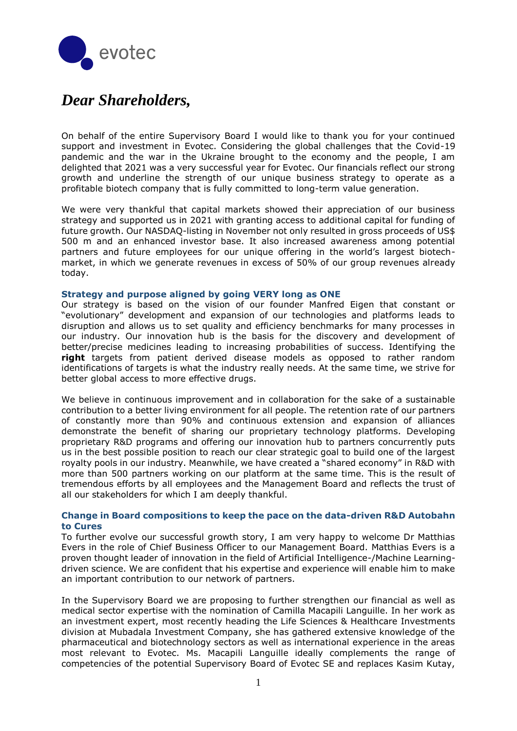

# *Dear Shareholders,*

On behalf of the entire Supervisory Board I would like to thank you for your continued support and investment in Evotec. Considering the global challenges that the Covid-19 pandemic and the war in the Ukraine brought to the economy and the people, I am delighted that 2021 was a very successful year for Evotec. Our financials reflect our strong growth and underline the strength of our unique business strategy to operate as a profitable biotech company that is fully committed to long-term value generation.

We were very thankful that capital markets showed their appreciation of our business strategy and supported us in 2021 with granting access to additional capital for funding of future growth. Our NASDAQ-listing in November not only resulted in gross proceeds of US\$ 500 m and an enhanced investor base. It also increased awareness among potential partners and future employees for our unique offering in the world's largest biotechmarket, in which we generate revenues in excess of 50% of our group revenues already today.

#### **Strategy and purpose aligned by going VERY long as ONE**

Our strategy is based on the vision of our founder Manfred Eigen that constant or "evolutionary" development and expansion of our technologies and platforms leads to disruption and allows us to set quality and efficiency benchmarks for many processes in our industry. Our innovation hub is the basis for the discovery and development of better/precise medicines leading to increasing probabilities of success. Identifying the **right** targets from patient derived disease models as opposed to rather random identifications of targets is what the industry really needs. At the same time, we strive for better global access to more effective drugs.

We believe in continuous improvement and in collaboration for the sake of a sustainable contribution to a better living environment for all people. The retention rate of our partners of constantly more than 90% and continuous extension and expansion of alliances demonstrate the benefit of sharing our proprietary technology platforms. Developing proprietary R&D programs and offering our innovation hub to partners concurrently puts us in the best possible position to reach our clear strategic goal to build one of the largest royalty pools in our industry. Meanwhile, we have created a "shared economy" in R&D with more than 500 partners working on our platform at the same time. This is the result of tremendous efforts by all employees and the Management Board and reflects the trust of all our stakeholders for which I am deeply thankful.

## **Change in Board compositions to keep the pace on the data-driven R&D Autobahn to Cures**

To further evolve our successful growth story, I am very happy to welcome Dr Matthias Evers in the role of Chief Business Officer to our Management Board. Matthias Evers is a proven thought leader of innovation in the field of Artificial Intelligence-/Machine Learningdriven science. We are confident that his expertise and experience will enable him to make an important contribution to our network of partners.

In the Supervisory Board we are proposing to further strengthen our financial as well as medical sector expertise with the nomination of Camilla Macapili Languille. In her work as an investment expert, most recently heading the Life Sciences & Healthcare Investments division at Mubadala Investment Company, she has gathered extensive knowledge of the pharmaceutical and biotechnology sectors as well as international experience in the areas most relevant to Evotec. Ms. Macapili Languille ideally complements the range of competencies of the potential Supervisory Board of Evotec SE and replaces Kasim Kutay,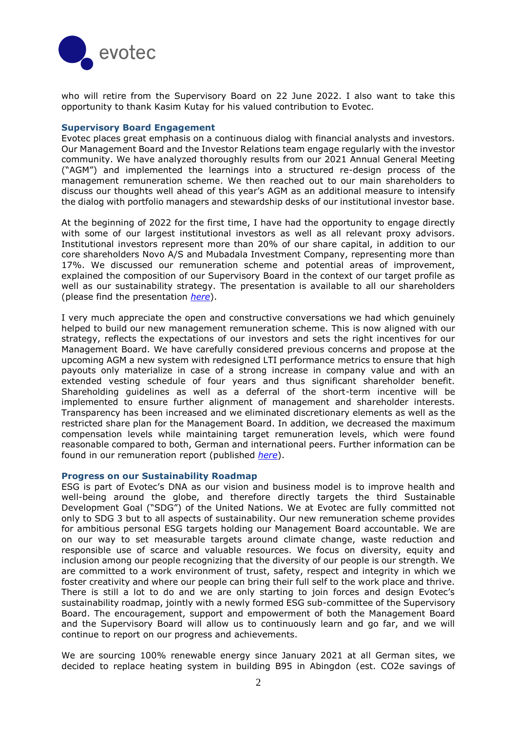

who will retire from the Supervisory Board on 22 June 2022. I also want to take this opportunity to thank Kasim Kutay for his valued contribution to Evotec.

#### **Supervisory Board Engagement**

Evotec places great emphasis on a continuous dialog with financial analysts and investors. Our Management Board and the Investor Relations team engage regularly with the investor community. We have analyzed thoroughly results from our 2021 Annual General Meeting ("AGM") and implemented the learnings into a structured re-design process of the management remuneration scheme. We then reached out to our main shareholders to discuss our thoughts well ahead of this year's AGM as an additional measure to intensify the dialog with portfolio managers and stewardship desks of our institutional investor base.

At the beginning of 2022 for the first time, I have had the opportunity to engage directly with some of our largest institutional investors as well as all relevant proxy advisors. Institutional investors represent more than 20% of our share capital, in addition to our core shareholders Novo A/S and Mubadala Investment Company, representing more than 17%. We discussed our remuneration scheme and potential areas of improvement, explained the composition of our Supervisory Board in the context of our target profile as well as our sustainability strategy. The presentation is available to all our shareholders (please find the presentation *[here](https://www.evotec.com/en/investor-relations/publications)*).

I very much appreciate the open and constructive conversations we had which genuinely helped to build our new management remuneration scheme. This is now aligned with our strategy, reflects the expectations of our investors and sets the right incentives for our Management Board. We have carefully considered previous concerns and propose at the upcoming AGM a new system with redesigned LTI performance metrics to ensure that high payouts only materialize in case of a strong increase in company value and with an extended vesting schedule of four years and thus significant shareholder benefit. Shareholding guidelines as well as a deferral of the short-term incentive will be implemented to ensure further alignment of management and shareholder interests. Transparency has been increased and we eliminated discretionary elements as well as the restricted share plan for the Management Board. In addition, we decreased the maximum compensation levels while maintaining target remuneration levels, which were found reasonable compared to both, German and international peers. Further information can be found in our remuneration report (published *[here](https://www.evotec.com/en/investor-relations/governance)*).

#### **Progress on our Sustainability Roadmap**

ESG is part of Evotec's DNA as our vision and business model is to improve health and well-being around the globe, and therefore directly targets the third Sustainable Development Goal ("SDG") of the United Nations. We at Evotec are fully committed not only to SDG 3 but to all aspects of sustainability. Our new remuneration scheme provides for ambitious personal ESG targets holding our Management Board accountable. We are on our way to set measurable targets around climate change, waste reduction and responsible use of scarce and valuable resources. We focus on diversity, equity and inclusion among our people recognizing that the diversity of our people is our strength. We are committed to a work environment of trust, safety, respect and integrity in which we foster creativity and where our people can bring their full self to the work place and thrive. There is still a lot to do and we are only starting to join forces and design Evotec's sustainability roadmap, jointly with a newly formed ESG sub-committee of the Supervisory Board. The encouragement, support and empowerment of both the Management Board and the Supervisory Board will allow us to continuously learn and go far, and we will continue to report on our progress and achievements.

We are sourcing 100% renewable energy since January 2021 at all German sites, we decided to replace heating system in building B95 in Abingdon (est. CO2e savings of